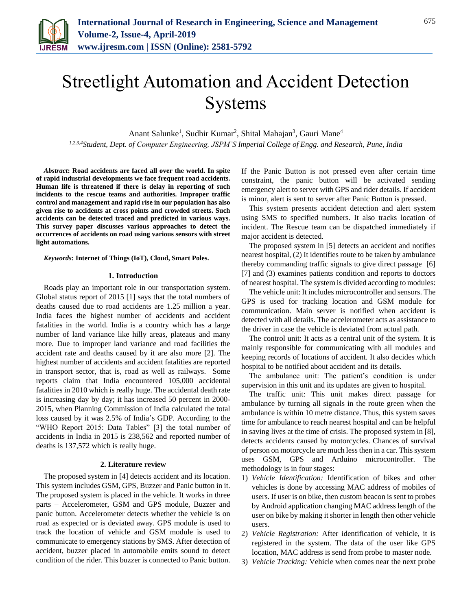

# Streetlight Automation and Accident Detection Systems

Anant Salunke<sup>1</sup>, Sudhir Kumar<sup>2</sup>, Shital Mahajan<sup>3</sup>, Gauri Mane<sup>4</sup>

*1,2,3,4Student, Dept. of Computer Engineering, JSPM'S Imperial College of Engg. and Research, Pune, India*

*Abstract***: Road accidents are faced all over the world. In spite of rapid industrial developments we face frequent road accidents. Human life is threatened if there is delay in reporting of such incidents to the rescue teams and authorities. Improper traffic control and management and rapid rise in our population has also given rise to accidents at cross points and crowded streets. Such accidents can be detected traced and predicted in various ways. This survey paper discusses various approaches to detect the occurrences of accidents on road using various sensors with street light automations.**

### *Keywords***: Internet of Things (IoT), Cloud, Smart Poles.**

#### **1. Introduction**

Roads play an important role in our transportation system. Global status report of 2015 [1] says that the total numbers of deaths caused due to road accidents are 1.25 million a year. India faces the highest number of accidents and accident fatalities in the world. India is a country which has a large number of land variance like hilly areas, plateaus and many more. Due to improper land variance and road facilities the accident rate and deaths caused by it are also more [2]. The highest number of accidents and accident fatalities are reported in transport sector, that is, road as well as railways. Some reports claim that India encountered 105,000 accidental fatalities in 2010 which is really huge. The accidental death rate is increasing day by day; it has increased 50 percent in 2000- 2015, when Planning Commission of India calculated the total loss caused by it was 2.5% of India's GDP. According to the "WHO Report 2015: Data Tables" [3] the total number of accidents in India in 2015 is 238,562 and reported number of deaths is 137,572 which is really huge.

#### **2. Literature review**

The proposed system in [4] detects accident and its location. This system includes GSM, GPS, Buzzer and Panic button in it. The proposed system is placed in the vehicle. It works in three parts – Accelerometer, GSM and GPS module, Buzzer and panic button. Accelerometer detects whether the vehicle is on road as expected or is deviated away. GPS module is used to track the location of vehicle and GSM module is used to communicate to emergency stations by SMS. After detection of accident, buzzer placed in automobile emits sound to detect condition of the rider. This buzzer is connected to Panic button. If the Panic Button is not pressed even after certain time constraint, the panic button will be activated sending emergency alert to server with GPS and rider details. If accident is minor, alert is sent to server after Panic Button is pressed.

This system presents accident detection and alert system using SMS to specified numbers. It also tracks location of incident. The Rescue team can be dispatched immediately if major accident is detected.

The proposed system in [5] detects an accident and notifies nearest hospital, (2) It identifies route to be taken by ambulance thereby commanding traffic signals to give direct passage [6] [7] and (3) examines patients condition and reports to doctors of nearest hospital. The system is divided according to modules:

The vehicle unit: It includes microcontroller and sensors. The GPS is used for tracking location and GSM module for communication. Main server is notified when accident is detected with all details. The accelerometer acts as assistance to the driver in case the vehicle is deviated from actual path.

The control unit: It acts as a central unit of the system. It is mainly responsible for communicating with all modules and keeping records of locations of accident. It also decides which hospital to be notified about accident and its details.

The ambulance unit: The patient's condition is under supervision in this unit and its updates are given to hospital.

The traffic unit: This unit makes direct passage for ambulance by turning all signals in the route green when the ambulance is within 10 metre distance. Thus, this system saves time for ambulance to reach nearest hospital and can be helpful in saving lives at the time of crisis. The proposed system in [8], detects accidents caused by motorcycles. Chances of survival of person on motorcycle are much less then in a car. This system uses GSM, GPS and Arduino microcontroller. The methodology is in four stages:

- 1) *Vehicle Identification:* Identification of bikes and other vehicles is done by accessing MAC address of mobiles of users. If user is on bike, then custom beacon is sent to probes by Android application changing MAC address length of the user on bike by making it shorter in length then other vehicle users.
- 2) *Vehicle Registration:* After identification of vehicle, it is registered in the system. The data of the user like GPS location, MAC address is send from probe to master node.
- 3) *Vehicle Tracking:* Vehicle when comes near the next probe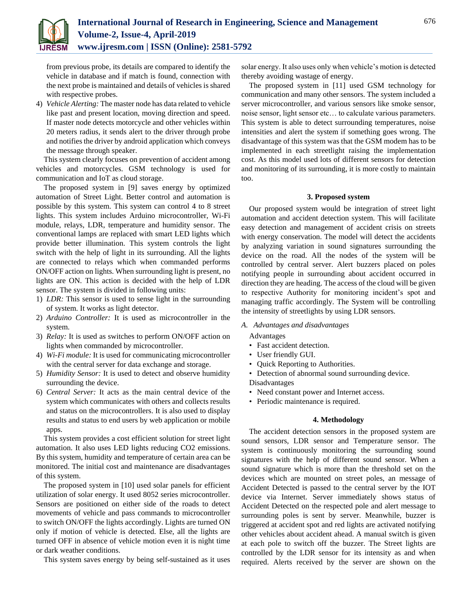

from previous probe, its details are compared to identify the vehicle in database and if match is found, connection with the next probe is maintained and details of vehicles is shared with respective probes.

4) *Vehicle Alerting:* The master node has data related to vehicle like past and present location, moving direction and speed. If master node detects motorcycle and other vehicles within 20 meters radius, it sends alert to the driver through probe and notifies the driver by android application which conveys the message through speaker.

This system clearly focuses on prevention of accident among vehicles and motorcycles. GSM technology is used for communication and IoT as cloud storage.

The proposed system in [9] saves energy by optimized automation of Street Light. Better control and automation is possible by this system. This system can control 4 to 8 street lights. This system includes Arduino microcontroller, Wi-Fi module, relays, LDR, temperature and humidity sensor. The conventional lamps are replaced with smart LED lights which provide better illumination. This system controls the light switch with the help of light in its surrounding. All the lights are connected to relays which when commanded performs ON/OFF action on lights. When surrounding light is present, no lights are ON. This action is decided with the help of LDR sensor. The system is divided in following units:

- 1) *LDR:* This sensor is used to sense light in the surrounding of system. It works as light detector.
- 2) *Arduino Controller:* It is used as microcontroller in the system.
- 3) *Relay:* It is used as switches to perform ON/OFF action on lights when commanded by microcontroller.
- 4) *Wi-Fi module:* It is used for communicating microcontroller with the central server for data exchange and storage.
- 5) *Humidity Sensor:* It is used to detect and observe humidity surrounding the device.
- 6) *Central Server:* It acts as the main central device of the system which communicates with others and collects results and status on the microcontrollers. It is also used to display results and status to end users by web application or mobile apps.

This system provides a cost efficient solution for street light automation. It also uses LED lights reducing CO2 emissions. By this system, humidity and temperature of certain area can be monitored. The initial cost and maintenance are disadvantages of this system.

The proposed system in [10] used solar panels for efficient utilization of solar energy. It used 8052 series microcontroller. Sensors are positioned on either side of the roads to detect movements of vehicle and pass commands to microcontroller to switch ON/OFF the lights accordingly. Lights are turned ON only if motion of vehicle is detected. Else, all the lights are turned OFF in absence of vehicle motion even it is night time or dark weather conditions.

This system saves energy by being self-sustained as it uses

solar energy. It also uses only when vehicle's motion is detected thereby avoiding wastage of energy.

The proposed system in [11] used GSM technology for communication and many other sensors. The system included a server microcontroller, and various sensors like smoke sensor, noise sensor, light sensor etc… to calculate various parameters. This system is able to detect surrounding temperatures, noise intensities and alert the system if something goes wrong. The disadvantage of this system was that the GSM modem has to be implemented in each streetlight raising the implementation cost. As this model used lots of different sensors for detection and monitoring of its surrounding, it is more costly to maintain too.

#### **3. Proposed system**

Our proposed system would be integration of street light automation and accident detection system. This will facilitate easy detection and management of accident crisis on streets with energy conservation. The model will detect the accidents by analyzing variation in sound signatures surrounding the device on the road. All the nodes of the system will be controlled by central server. Alert buzzers placed on poles notifying people in surrounding about accident occurred in direction they are heading. The access of the cloud will be given to respective Authority for monitoring incident's spot and managing traffic accordingly. The System will be controlling the intensity of streetlights by using LDR sensors.

*A. Advantages and disadvantages*

Advantages

- Fast accident detection.
- User friendly GUI.
- Quick Reporting to Authorities.
- Detection of abnormal sound surrounding device. Disadvantages
- Need constant power and Internet access.
- Periodic maintenance is required.

### **4. Methodology**

The accident detection sensors in the proposed system are sound sensors, LDR sensor and Temperature sensor. The system is continuously monitoring the surrounding sound signatures with the help of different sound sensor. When a sound signature which is more than the threshold set on the devices which are mounted on street poles, an message of Accident Detected is passed to the central server by the IOT device via Internet. Server immediately shows status of Accident Detected on the respected pole and alert message to surrounding poles is sent by server. Meanwhile, buzzer is triggered at accident spot and red lights are activated notifying other vehicles about accident ahead. A manual switch is given at each pole to switch off the buzzer. The Street lights are controlled by the LDR sensor for its intensity as and when required. Alerts received by the server are shown on the